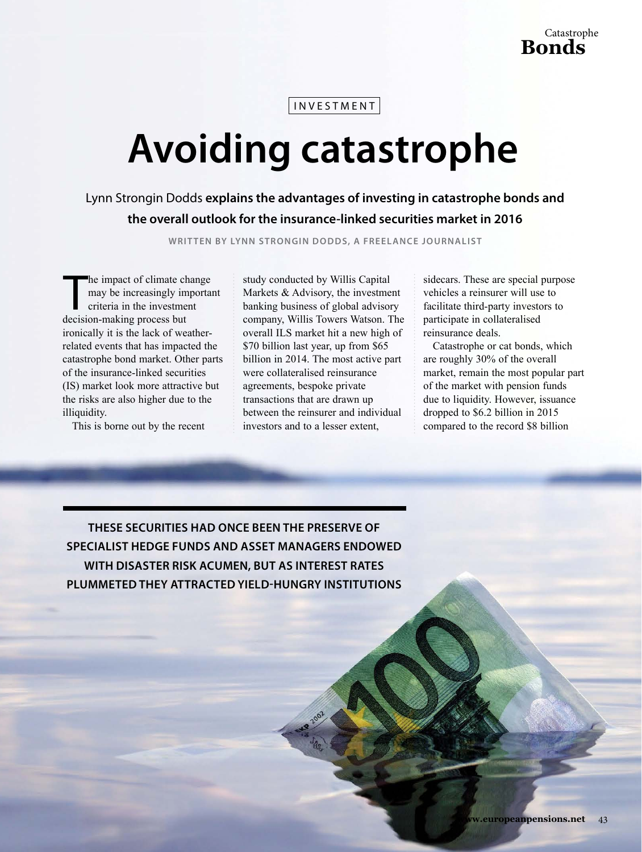investment

# **Avoiding catastrophe**

Lynn Strongin Dodds **explains the advantages of investing in catastrophe bonds and the overall outlook for the insurance-linked securities market in 2016** 

**WRIT TEN BY LYNN STRONGIN DODDS, A FREELANCE JOURNALIST**

The impact of climate change in the investment criteria in the investment decision-making process but he impact of climate change may be increasingly important criteria in the investment ironically it is the lack of weatherrelated events that has impacted the catastrophe bond market. Other parts of the insurance-linked securities (IS) market look more attractive but the risks are also higher due to the illiquidity.

This is borne out by the recent

study conducted by Willis Capital Markets & Advisory, the investment banking business of global advisory company, Willis Towers Watson. The overall ILS market hit a new high of \$70 billion last year, up from \$65 billion in 2014. The most active part were collateralised reinsurance agreements, bespoke private transactions that are drawn up between the reinsurer and individual investors and to a lesser extent,

sidecars. These are special purpose vehicles a reinsurer will use to facilitate third-party investors to participate in collateralised reinsurance deals.

Catastrophe or cat bonds, which are roughly 30% of the overall market, remain the most popular part of the market with pension funds due to liquidity. However, issuance dropped to \$6.2 billion in 2015 compared to the record \$8 billion

**ThESE SECURITIES hAD ONCE BEEN ThE pRESERvE OF SpECIALIST hEDGE FUNDS AND ASSET mANAGERS ENDOWED WITh DISASTER RISk ACUmEN, BUT AS INTEREST RATES pLUmmETED ThEY ATTRACTED YIELD-hUNGRY INSTITUTIONS**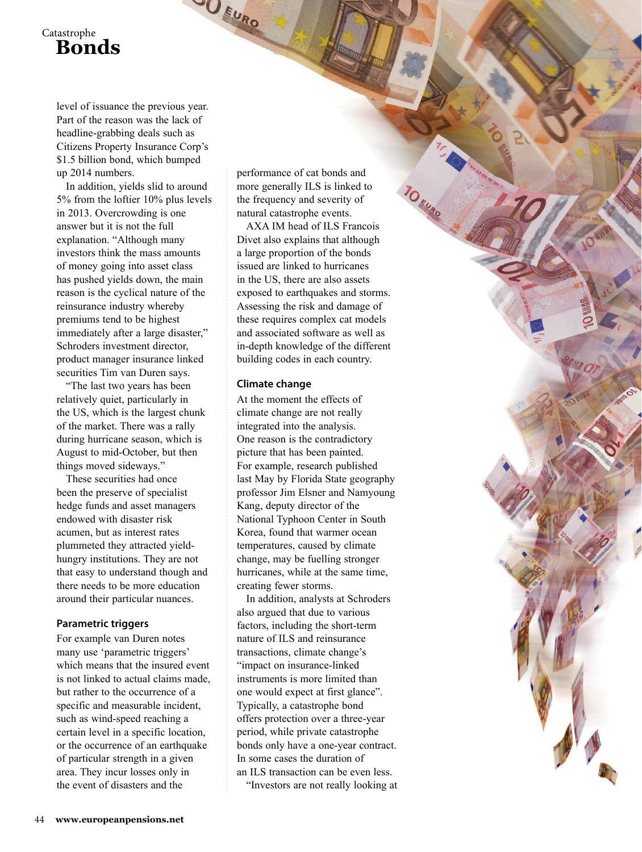## Catastrophe **Bonds**

level of issuance the previous year. Part of the reason was the lack of headline-grabbing deals such as Citizens Property Insurance Corp's \$1.5 billion bond, which bumped up 2014 numbers.

In addition, yields slid to around 5% from the loftier 10% plus levels in 2013. Overcrowding is one answer but it is not the full explanation. "Although many investors think the mass amounts of money going into asset class has pushed yields down, the main reason is the cyclical nature of the reinsurance industry whereby premiums tend to be highest immediately after a large disaster," Schroders investment director, product manager insurance linked securities Tim van Duren says.

"The last two years has been relatively quiet, particularly in the US, which is the largest chunk of the market. There was a rally during hurricane season, which is August to mid-October, but then things moved sideways."

These securities had once been the preserve of specialist hedge funds and asset managers endowed with disaster risk acumen, but as interest rates plummeted they attracted yieldhungry institutions. They are not that easy to understand though and there needs to be more education around their particular nuances.

#### **parametric triggers**

For example van Duren notes many use 'parametric triggers' which means that the insured event is not linked to actual claims made, but rather to the occurrence of a specific and measurable incident, such as wind-speed reaching a certain level in a specific location, or the occurrence of an earthquake of particular strength in a given area. They incur losses only in the event of disasters and the

performance of cat bonds and more generally ILS is linked to the frequency and severity of natural catastrophe events.

JU FURO

AXA IM head of ILS Francois Divet also explains that although a large proportion of the bonds issued are linked to hurricanes in the US, there are also assets exposed to earthquakes and storms. Assessing the risk and damage of these requires complex cat models and associated software as well as in-depth knowledge of the different building codes in each country.

#### **Climate change**

At the moment the effects of climate change are not really integrated into the analysis. One reason is the contradictory picture that has been painted. For example, research published last May by Florida State geography professor Jim Elsner and Namyoung Kang, deputy director of the National Typhoon Center in South Korea, found that warmer ocean temperatures, caused by climate change, may be fuelling stronger hurricanes, while at the same time, creating fewer storms.

In addition, analysts at Schroders also argued that due to various factors, including the short-term nature of ILS and reinsurance transactions, climate change's "impact on insurance-linked instruments is more limited than one would expect at first glance". Typically, a catastrophe bond offers protection over a three-year period, while private catastrophe bonds only have a one-year contract. In some cases the duration of an ILS transaction can be even less. "Investors are not really looking at

44 **[www.europeanpensions.net](http://www.europeanpensions.net)**